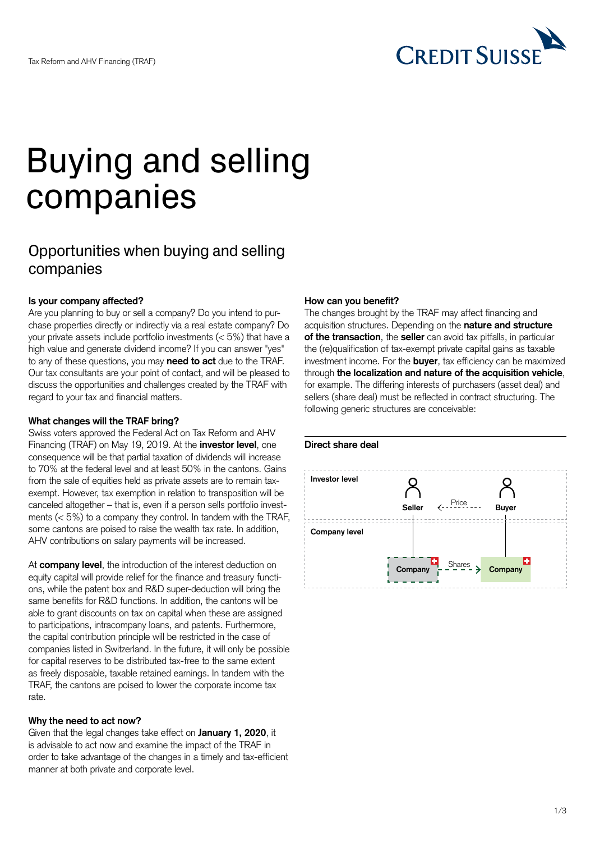

# Buying and selling companies

# Opportunities when buying and selling companies

# **Is your company affected?**

Are you planning to buy or sell a company? Do you intend to purchase properties directly or indirectly via a real estate company? Do your private assets include portfolio investments (< 5%) that have a high value and generate dividend income? If you can answer "yes" to any of these questions, you may **need to act** due to the TRAF. Our tax consultants are your point of contact, and will be pleased to discuss the opportunities and challenges created by the TRAF with regard to your tax and financial matters.

#### **What changes will the TRAF bring?**

Swiss voters approved the Federal Act on Tax Reform and AHV Financing (TRAF) on May 19, 2019. At the **investor level**, one consequence will be that partial taxation of dividends will increase to 70% at the federal level and at least 50% in the cantons. Gains from the sale of equities held as private assets are to remain taxexempt. However, tax exemption in relation to transposition will be canceled altogether – that is, even if a person sells portfolio investments  $(< 5\%)$  to a company they control. In tandem with the TRAF, some cantons are poised to raise the wealth tax rate. In addition, AHV contributions on salary payments will be increased.

At **company level**, the introduction of the interest deduction on equity capital will provide relief for the finance and treasury functions, while the patent box and R&D super-deduction will bring the same benefits for R&D functions. In addition, the cantons will be able to grant discounts on tax on capital when these are assigned to participations, intracompany loans, and patents. Furthermore, the capital contribution principle will be restricted in the case of companies listed in Switzerland. In the future, it will only be possible for capital reserves to be distributed tax-free to the same extent as freely disposable, taxable retained earnings. In tandem with the TRAF, the cantons are poised to lower the corporate income tax rate.

# **Why the need to act now?**

Given that the legal changes take effect on **January 1, 2020**, it is advisable to act now and examine the impact of the TRAF in order to take advantage of the changes in a timely and tax-efficient manner at both private and corporate level.

#### **How can you benefit?**

The changes brought by the TRAF may affect financing and acquisition structures. Depending on the **nature and structure of the transaction**, the **seller** can avoid tax pitfalls, in particular the (re)qualification of tax-exempt private capital gains as taxable investment income. For the **buyer**, tax efficiency can be maximized through **the localization and nature of the acquisition vehicle**, for example. The differing interests of purchasers (asset deal) and sellers (share deal) must be reflected in contract structuring. The following generic structures are conceivable:

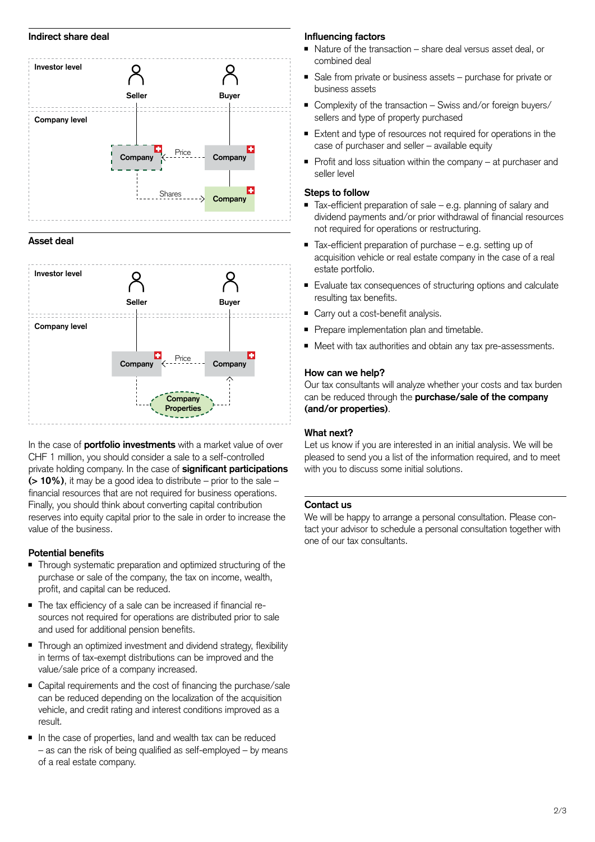#### **Indirect share deal**



#### **Asset deal**



In the case of **portfolio investments** with a market value of over CHF 1 million, you should consider a sale to a self-controlled private holding company. In the case of **significant participations (> 10%)**, it may be a good idea to distribute – prior to the sale – financial resources that are not required for business operations. Finally, you should think about converting capital contribution reserves into equity capital prior to the sale in order to increase the value of the business.

#### **Potential benefits**

- Through systematic preparation and optimized structuring of the purchase or sale of the company, the tax on income, wealth, profit, and capital can be reduced.
- The tax efficiency of a sale can be increased if financial resources not required for operations are distributed prior to sale and used for additional pension benefits.
- Through an optimized investment and dividend strategy, flexibility in terms of tax-exempt distributions can be improved and the value/sale price of a company increased.
- Capital requirements and the cost of financing the purchase/sale can be reduced depending on the localization of the acquisition vehicle, and credit rating and interest conditions improved as a result.
- In the case of properties, land and wealth tax can be reduced – as can the risk of being qualified as self-employed – by means of a real estate company.

# **Influencing factors**

- Nature of the transaction share deal versus asset deal, or combined deal
- Sale from private or business assets purchase for private or business assets
- Complexity of the transaction Swiss and/or foreign buyers/ sellers and type of property purchased
- Extent and type of resources not required for operations in the case of purchaser and seller – available equity
- Profit and loss situation within the company at purchaser and seller level

#### **Steps to follow**

- Tax-efficient preparation of sale e.g. planning of salary and dividend payments and/or prior withdrawal of financial resources not required for operations or restructuring.
- Tax-efficient preparation of purchase e.g. setting up of acquisition vehicle or real estate company in the case of a real estate portfolio.
- Evaluate tax consequences of structuring options and calculate resulting tax benefits.
- Carry out a cost-benefit analysis.
- Prepare implementation plan and timetable.
- Meet with tax authorities and obtain any tax pre-assessments.

#### **How can we help?**

Our tax consultants will analyze whether your costs and tax burden can be reduced through the **purchase/sale of the company (and/or properties)**.

# **What next?**

Let us know if you are interested in an initial analysis. We will be pleased to send you a list of the information required, and to meet with you to discuss some initial solutions.

#### **Contact us**

We will be happy to arrange a personal consultation. Please contact your advisor to schedule a personal consultation together with one of our tax consultants.